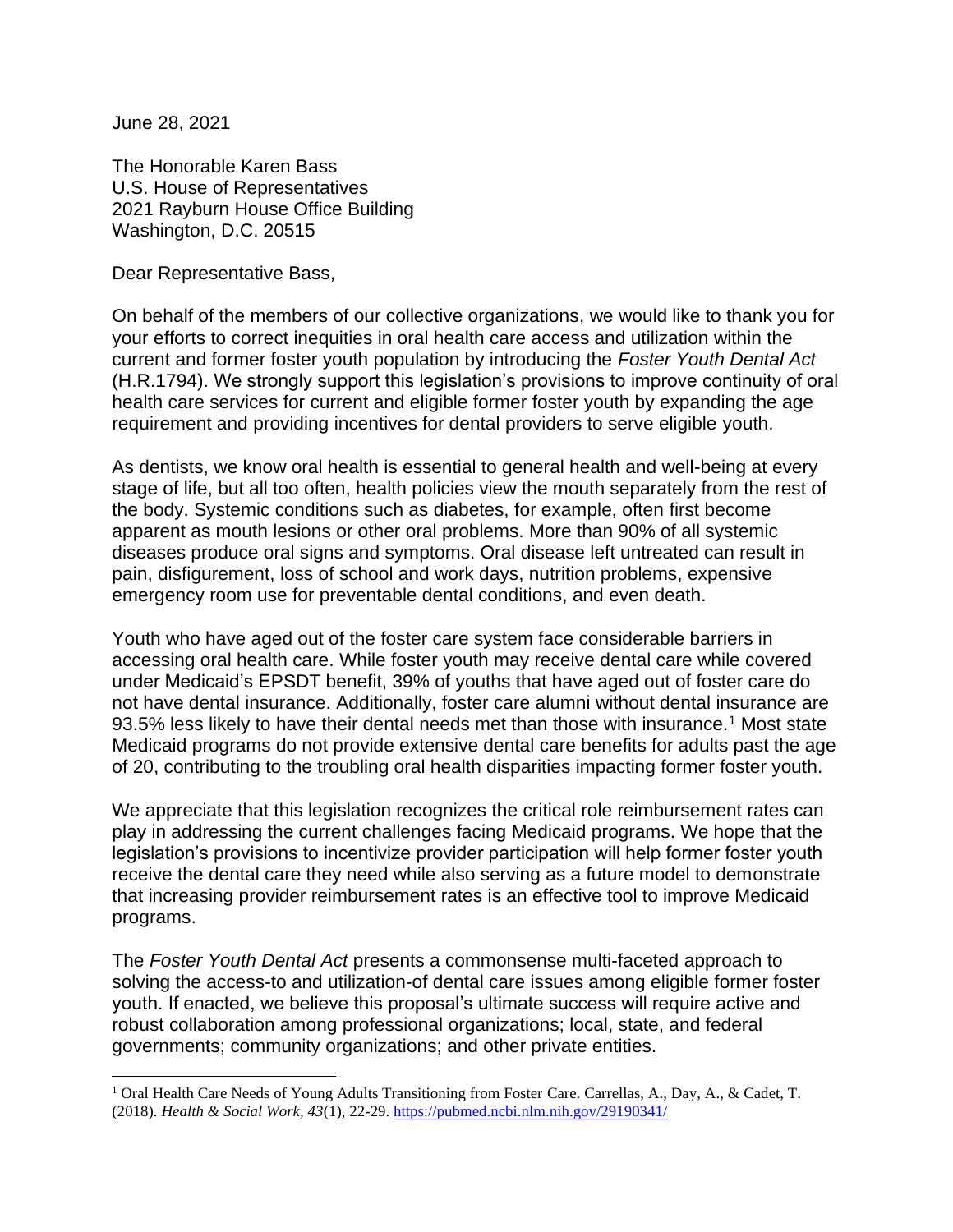June 28, 2021

The Honorable Karen Bass U.S. House of Representatives 2021 Rayburn House Office Building Washington, D.C. 20515

Dear Representative Bass,

On behalf of the members of our collective organizations, we would like to thank you for your efforts to correct inequities in oral health care access and utilization within the current and former foster youth population by introducing the *Foster Youth Dental Act* (H.R.1794). We strongly support this legislation's provisions to improve continuity of oral health care services for current and eligible former foster youth by expanding the age requirement and providing incentives for dental providers to serve eligible youth.

As dentists, we know oral health is essential to general health and well-being at every stage of life, but all too often, health policies view the mouth separately from the rest of the body. Systemic conditions such as diabetes, for example, often first become apparent as mouth lesions or other oral problems. More than 90% of all systemic diseases produce oral signs and symptoms. Oral disease left untreated can result in pain, disfigurement, loss of school and work days, nutrition problems, expensive emergency room use for preventable dental conditions, and even death.

Youth who have aged out of the foster care system face considerable barriers in accessing oral health care. While foster youth may receive dental care while covered under Medicaid's EPSDT benefit, 39% of youths that have aged out of foster care do not have dental insurance. Additionally, foster care alumni without dental insurance are 93.5% less likely to have their dental needs met than those with insurance.<sup>1</sup> Most state Medicaid programs do not provide extensive dental care benefits for adults past the age of 20, contributing to the troubling oral health disparities impacting former foster youth.

We appreciate that this legislation recognizes the critical role reimbursement rates can play in addressing the current challenges facing Medicaid programs. We hope that the legislation's provisions to incentivize provider participation will help former foster youth receive the dental care they need while also serving as a future model to demonstrate that increasing provider reimbursement rates is an effective tool to improve Medicaid programs.

The *Foster Youth Dental Act* presents a commonsense multi-faceted approach to solving the access-to and utilization-of dental care issues among eligible former foster youth. If enacted, we believe this proposal's ultimate success will require active and robust collaboration among professional organizations; local, state, and federal governments; community organizations; and other private entities.

<sup>&</sup>lt;sup>1</sup> Oral Health Care Needs of Young Adults Transitioning from Foster Care. Carrellas, A., Day, A., & Cadet, T. (2018). *Health & Social Work, 43*(1), 22-29.<https://pubmed.ncbi.nlm.nih.gov/29190341/>